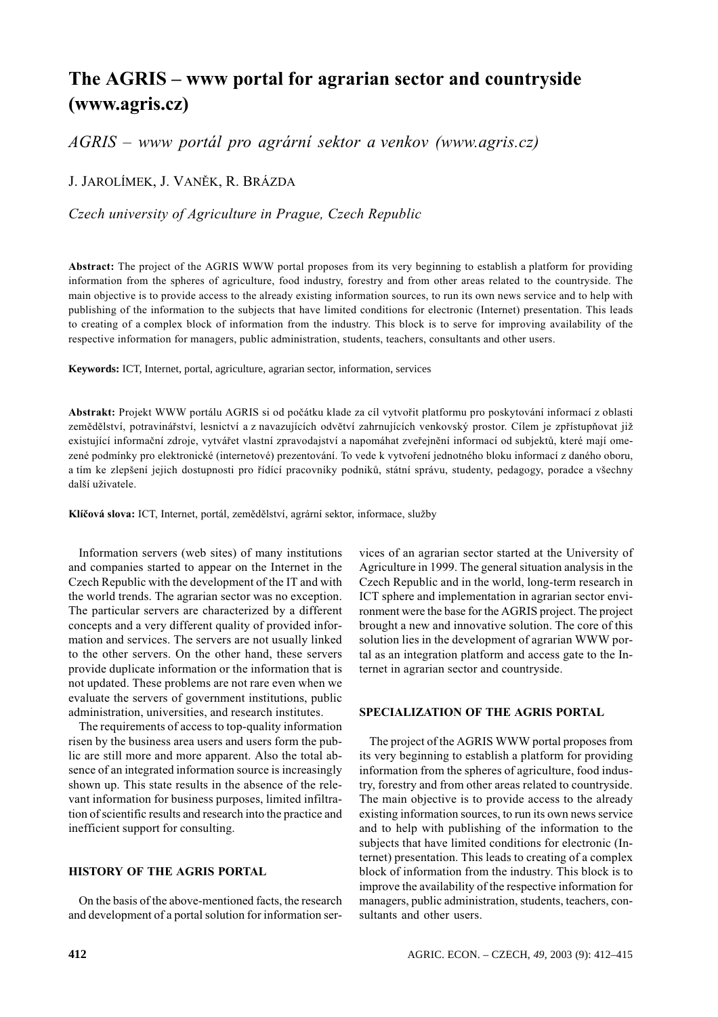# The AGRIS – www portal for agrarian sector and countryside (www.agris.cz)

# AGRIS – www portál pro agrární sektor a venkov (www.agris.cz)

J. JAROLÍMEK, J. VANĚK, R. BRÁZDA

Czech university of Agriculture in Prague, Czech Republic

Abstract: The project of the AGRIS WWW portal proposes from its very beginning to establish a platform for providing information from the spheres of agriculture, food industry, forestry and from other areas related to the countryside. The main objective is to provide access to the already existing information sources, to run its own news service and to help with publishing of the information to the subjects that have limited conditions for electronic (Internet) presentation. This leads to creating of a complex block of information from the industry. This block is to serve for improving availability of the respective information for managers, public administration, students, teachers, consultants and other users.

Keywords: ICT, Internet, portal, agriculture, agrarian sector, information, services

Abstrakt: Projekt WWW portálu AGRIS si od počátku klade za cíl vytvořit platformu pro poskytování informací z oblasti zemědělství, potravinářství, lesnictví a z navazujících odvětví zahrnujících venkovský prostor. Cílem je zpřístupňovat již existující informační zdroje, vytvářet vlastní zpravodajství a napomáhat zveřejnění informací od subjektů, které mají omezené podmínky pro elektronické (internetové) prezentování. To vede k vytvoření jednotného bloku informací z daného oboru, a tím ke zlepšení jejich dostupnosti pro řídící pracovníky podniků, státní správu, studenty, pedagogy, poradce a všechny další uživatele.

Klíčová slova: ICT, Internet, portál, zemědělství, agrární sektor, informace, služby

Information servers (web sites) of many institutions and companies started to appear on the Internet in the Czech Republic with the development of the IT and with the world trends. The agrarian sector was no exception. The particular servers are characterized by a different concepts and a very different quality of provided information and services. The servers are not usually linked to the other servers. On the other hand, these servers provide duplicate information or the information that is not updated. These problems are not rare even when we evaluate the servers of government institutions, public administration, universities, and research institutes.

The requirements of access to top-quality information risen by the business area users and users form the public are still more and more apparent. Also the total absence of an integrated information source is increasingly shown up. This state results in the absence of the relevant information for business purposes, limited infiltration of scientific results and research into the practice and inefficient support for consulting.

#### **HISTORY OF THE AGRIS PORTAL**

On the basis of the above-mentioned facts, the research and development of a portal solution for information services of an agrarian sector started at the University of Agriculture in 1999. The general situation analysis in the Czech Republic and in the world, long-term research in ICT sphere and implementation in agrarian sector environment were the base for the AGRIS project. The project brought a new and innovative solution. The core of this solution lies in the development of agrarian WWW portal as an integration platform and access gate to the Internet in agrarian sector and countryside.

# **SPECIALIZATION OF THE AGRIS PORTAL**

The project of the AGRIS WWW portal proposes from its very beginning to establish a platform for providing information from the spheres of agriculture, food industry, forestry and from other areas related to countryside. The main objective is to provide access to the already existing information sources, to run its own news service and to help with publishing of the information to the subjects that have limited conditions for electronic (Internet) presentation. This leads to creating of a complex block of information from the industry. This block is to improve the availability of the respective information for managers, public administration, students, teachers, consultants and other users.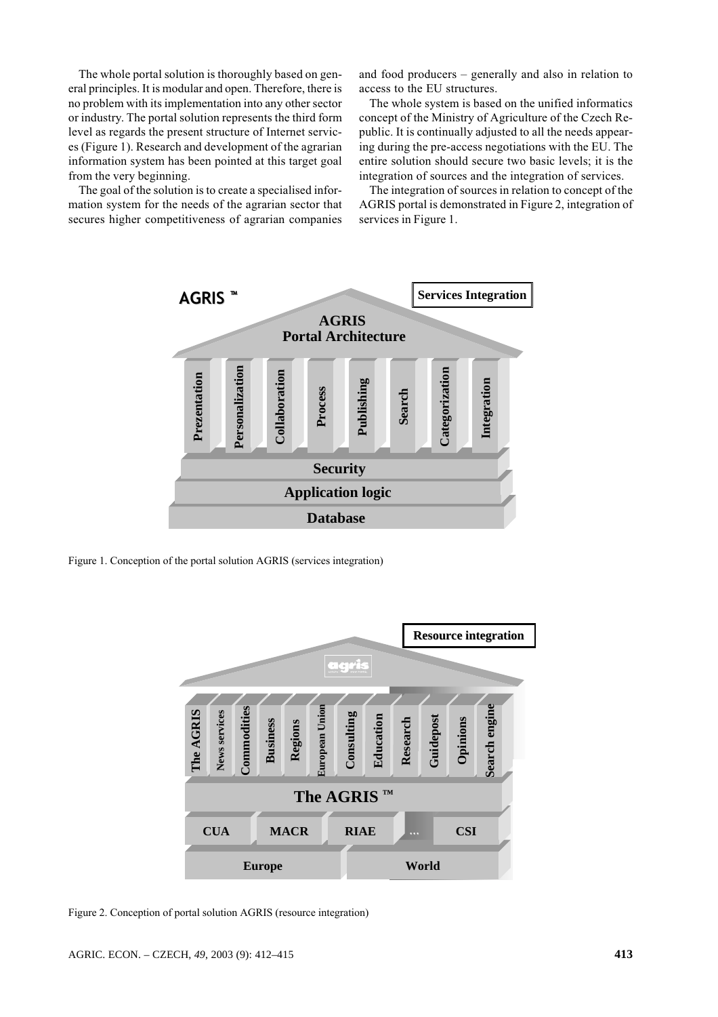The whole portal solution is thoroughly based on general principles. It is modular and open. Therefore, there is no problem with its implementation into any other sector or industry. The portal solution represents the third form level as regards the present structure of Internet services (Figure 1). Research and development of the agrarian information system has been pointed at this target goal from the very beginning.

The goal of the solution is to create a specialised information system for the needs of the agrarian sector that secures higher competitiveness of agrarian companies and food producers - generally and also in relation to access to the EU structures.

The whole system is based on the unified informatics concept of the Ministry of Agriculture of the Czech Republic. It is continually adjusted to all the needs appearing during the pre-access negotiations with the EU. The entire solution should secure two basic levels; it is the integration of sources and the integration of services.

The integration of sources in relation to concept of the AGRIS portal is demonstrated in Figure 2, integration of services in Figure 1.



Figure 1. Conception of the portal solution AGRIS (services integration)



Figure 2. Conception of portal solution AGRIS (resource integration)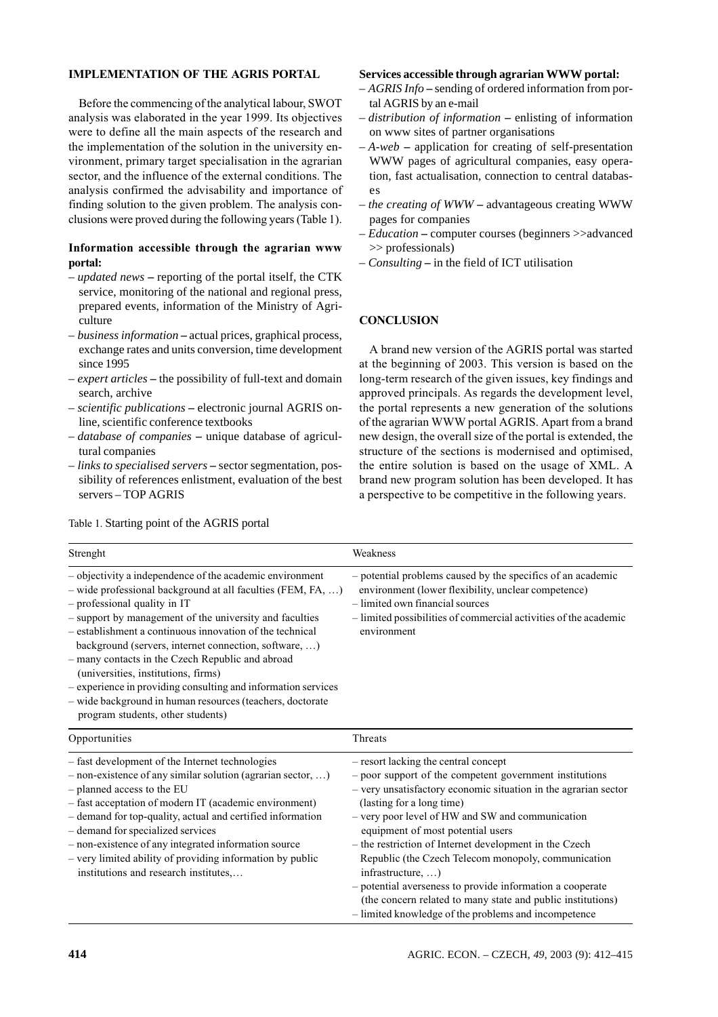#### IMPLEMENTATION OF THE AGRIS PORTAL

Before the commencing of the analytical labour, SWOT analysis was elaborated in the year 1999. Its objectives were to define all the main aspects of the research and the implementation of the solution in the university environment, primary target specialisation in the agrarian sector, and the influence of the external conditions. The analysis confirmed the advisability and importance of finding solution to the given problem. The analysis conclusions were proved during the following years (Table 1).

# Information accessible through the agrarian www nortal:

- *updated news*reporting of the portal itself, the CTK service, monitoring of the national and regional press, prepared events, information of the Ministry of Agriculture
- *business information*actual prices, graphical process, exchange rates and units conversion, time development since 1995
- *expert articles*the possibility of full-text and domain search, archive
- *scientific publications*electronic journal AGRIS online, scientific conference textbooks
- *database of companies*unique database of agricultural companies
- *links to specialised servers*sector segmentation, possibility of references enlistment, evaluation of the best servers – TOP AGRIS

# **Services accessible through agrarian WWW portal:**

- *AGRIS Info*sending of ordered information from portal AGRIS by an e-mail
- *distribution of information*enlisting of information on www sites of partner organisations
- *A-web*application for creating of self-presentation WWW pages of agricultural companies, easy operation, fast actualisation, connection to central databas- $\overline{P}$
- *the creating of WWW*advantageous creating WWW pages for companies
- *Education*computer courses (beginners >>advanced >> professionals)
- *Consulting*in the field of ICT utilisation

# **CONCLUSION**

A brand new version of the AGRIS portal was started at the beginning of 2003. This version is based on the long-term research of the given issues, key findings and approved principals. As regards the development level, the portal represents a new generation of the solutions of the agrarian WWW portal AGRIS. Apart from a brand new design, the overall size of the portal is extended, the structure of the sections is modernised and optimised, the entire solution is based on the usage of XML. A brand new program solution has been developed. It has a perspective to be competitive in the following years.

| Strenght                                                                                                                                                                                                                                                                                                                                                                                                                                                                                                                                                                                              | Weakness                                                                                                                                                                                                                                                                                                                                                                                                                                                                                                                                                                                                           |
|-------------------------------------------------------------------------------------------------------------------------------------------------------------------------------------------------------------------------------------------------------------------------------------------------------------------------------------------------------------------------------------------------------------------------------------------------------------------------------------------------------------------------------------------------------------------------------------------------------|--------------------------------------------------------------------------------------------------------------------------------------------------------------------------------------------------------------------------------------------------------------------------------------------------------------------------------------------------------------------------------------------------------------------------------------------------------------------------------------------------------------------------------------------------------------------------------------------------------------------|
| - objectivity a independence of the academic environment<br>- wide professional background at all faculties (FEM, FA, )<br>- professional quality in IT<br>- support by management of the university and faculties<br>- establishment a continuous innovation of the technical<br>background (servers, internet connection, software, )<br>- many contacts in the Czech Republic and abroad<br>(universities, institutions, firms)<br>- experience in providing consulting and information services<br>- wide background in human resources (teachers, doctorate<br>program students, other students) | - potential problems caused by the specifics of an academic<br>environment (lower flexibility, unclear competence)<br>- limited own financial sources<br>- limited possibilities of commercial activities of the academic<br>environment                                                                                                                                                                                                                                                                                                                                                                           |
| Opportunities                                                                                                                                                                                                                                                                                                                                                                                                                                                                                                                                                                                         | Threats                                                                                                                                                                                                                                                                                                                                                                                                                                                                                                                                                                                                            |
| - fast development of the Internet technologies<br>- non-existence of any similar solution (agrarian sector, )<br>- planned access to the EU<br>- fast acceptation of modern IT (academic environment)<br>- demand for top-quality, actual and certified information<br>- demand for specialized services<br>- non-existence of any integrated information source<br>- very limited ability of providing information by public<br>institutions and research institutes,                                                                                                                               | - resort lacking the central concept<br>- poor support of the competent government institutions<br>- very unsatisfactory economic situation in the agrarian sector<br>(lasting for a long time)<br>- very poor level of HW and SW and communication<br>equipment of most potential users<br>- the restriction of Internet development in the Czech<br>Republic (the Czech Telecom monopoly, communication<br>infrastructure, )<br>- potential averseness to provide information a cooperate<br>(the concern related to many state and public institutions)<br>- limited knowledge of the problems and incompetence |

#### Table 1. Starting point of the AGRIS portal